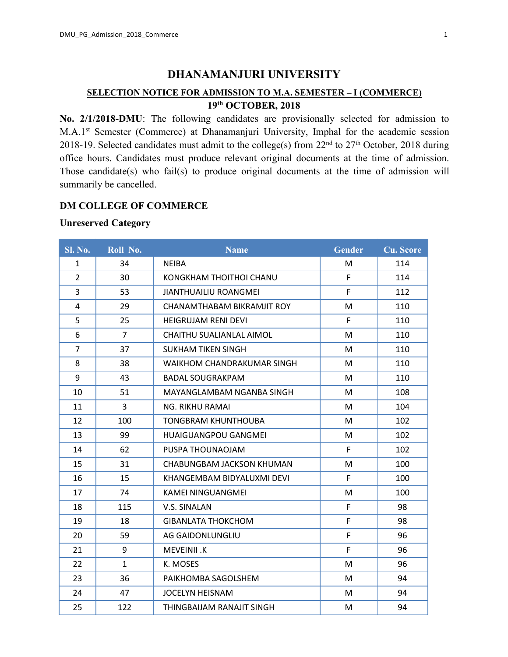# **DHANAMANJURI UNIVERSITY**

# **SELECTION NOTICE FOR ADMISSION TO M.A. SEMESTER – I (COMMERCE) th OCTOBER, 2018**

**No. 2/1/2018-DMU**: The following candidates are provisionally selected for admission to M.A.1 st Semester (Commerce) at Dhanamanjuri University, Imphal for the academic session 2018-19. Selected candidates must admit to the college(s) from  $22<sup>nd</sup>$  to  $27<sup>th</sup>$  October, 2018 during office hours. Candidates must produce relevant original documents at the time of admission. Those candidate(s) who fail(s) to produce original documents at the time of admission will summarily be cancelled.

## **DM COLLEGE OF COMMERCE**

#### **Unreserved Category**

| <b>Sl. No.</b> | Roll No.       | <b>Name</b>                  | <b>Gender</b> | <b>Cu. Score</b> |
|----------------|----------------|------------------------------|---------------|------------------|
| $\mathbf{1}$   | 34             | <b>NEIBA</b>                 | M             | 114              |
| $\overline{2}$ | 30             | KONGKHAM THOITHOI CHANU      | F             | 114              |
| 3              | 53             | <b>JIANTHUAILIU ROANGMEI</b> | F             | 112              |
| 4              | 29             | CHANAMTHABAM BIKRAMJIT ROY   | M             | 110              |
| 5              | 25             | <b>HEIGRUJAM RENI DEVI</b>   | F             | 110              |
| 6              | $\overline{7}$ | CHAITHU SUALIANLAL AIMOL     | M             | 110              |
| $\overline{7}$ | 37             | <b>SUKHAM TIKEN SINGH</b>    | M             | 110              |
| 8              | 38             | WAIKHOM CHANDRAKUMAR SINGH   | M             | 110              |
| 9              | 43             | <b>BADAL SOUGRAKPAM</b>      | M             | 110              |
| 10             | 51             | MAYANGLAMBAM NGANBA SINGH    | M             | 108              |
| 11             | 3              | <b>NG. RIKHU RAMAI</b>       | M             | 104              |
| 12             | 100            | <b>TONGBRAM KHUNTHOUBA</b>   | M             | 102              |
| 13             | 99             | HUAIGUANGPOU GANGMEI         | M             | 102              |
| 14             | 62             | PUSPA THOUNAOJAM             | F.            | 102              |
| 15             | 31             | CHABUNGBAM JACKSON KHUMAN    | M             | 100              |
| 16             | 15             | KHANGEMBAM BIDYALUXMI DEVI   | F             | 100              |
| 17             | 74             | <b>KAMEI NINGUANGMEI</b>     | M             | 100              |
| 18             | 115            | V.S. SINALAN                 | F.            | 98               |
| 19             | 18             | <b>GIBANLATA THOKCHOM</b>    | F             | 98               |
| 20             | 59             | AG GAIDONLUNGLIU             | F             | 96               |
| 21             | 9              | MEVEINII.K                   | F.            | 96               |
| 22             | $\mathbf{1}$   | K. MOSES                     | M             | 96               |
| 23             | 36             | PAIKHOMBA SAGOLSHEM          | M             | 94               |
| 24             | 47             | <b>JOCELYN HEISNAM</b>       | M             | 94               |
| 25             | 122            | THINGBAIJAM RANAJIT SINGH    | M             | 94               |